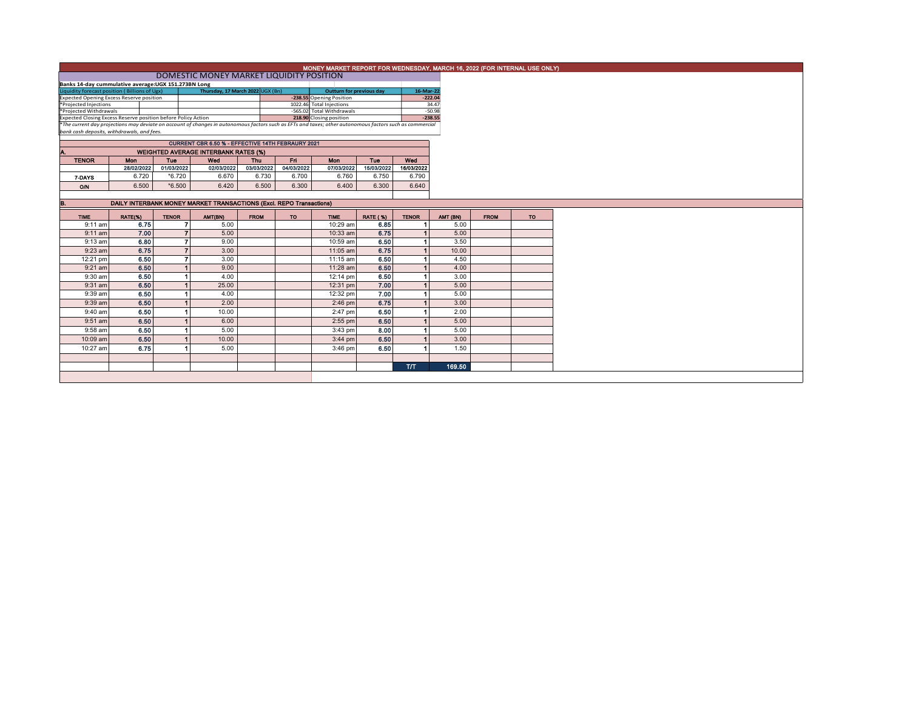|                                                                                                                                                                                                        | MONEY MARKET REPORT FOR WEDNESDAY, MARCH 16, 2022 (FOR INTERNAL USE ONLY) |                          |                                                          |             |            |                                                       |                 |                      |                   |  |  |  |  |  |
|--------------------------------------------------------------------------------------------------------------------------------------------------------------------------------------------------------|---------------------------------------------------------------------------|--------------------------|----------------------------------------------------------|-------------|------------|-------------------------------------------------------|-----------------|----------------------|-------------------|--|--|--|--|--|
|                                                                                                                                                                                                        | DOMESTIC MONEY MARKET LIQUIDITY POSITION                                  |                          |                                                          |             |            |                                                       |                 |                      |                   |  |  |  |  |  |
| Banks 14-day cummulative average: UGX 151.273BN Long                                                                                                                                                   |                                                                           |                          |                                                          |             |            |                                                       |                 |                      |                   |  |  |  |  |  |
| Liquidity forecast position (Billions of Ugx)                                                                                                                                                          |                                                                           |                          | Thursday, 17 March 2022 UGX (Bn)                         |             |            | Outturn for previous day                              |                 | 16-Mar-22            |                   |  |  |  |  |  |
| <b>Expected Opening Excess Reserve position</b><br>*Projected Injections                                                                                                                               |                                                                           |                          |                                                          |             |            | -238.55 Opening Position                              |                 |                      | $-222.04$         |  |  |  |  |  |
| *Projected Withdrawals                                                                                                                                                                                 |                                                                           |                          |                                                          |             |            | 1022.46 Total Injections<br>-565.02 Total Withdrawals |                 |                      | 34.47<br>$-50.98$ |  |  |  |  |  |
| Expected Closing Excess Reserve position before Policy Action                                                                                                                                          |                                                                           |                          |                                                          |             |            | 218.90 Closing position                               |                 |                      | $-238.55$         |  |  |  |  |  |
|                                                                                                                                                                                                        |                                                                           |                          |                                                          |             |            |                                                       |                 |                      |                   |  |  |  |  |  |
| *The current day projections may deviate on account of changes in autonomous factors such as EFTs and taxes; other autonomous factors such as commercial<br>bank cash deposits, withdrawals, and fees. |                                                                           |                          |                                                          |             |            |                                                       |                 |                      |                   |  |  |  |  |  |
|                                                                                                                                                                                                        |                                                                           |                          | <b>CURRENT CBR 6.50 % - EFFECTIVE 14TH FEBRAURY 2021</b> |             |            |                                                       |                 |                      |                   |  |  |  |  |  |
|                                                                                                                                                                                                        |                                                                           |                          |                                                          |             |            |                                                       |                 |                      |                   |  |  |  |  |  |
| Α.<br><b>TENOR</b>                                                                                                                                                                                     | <b>Mon</b>                                                                |                          | <b>WEIGHTED AVERAGE INTERBANK RATES (%)</b>              | <b>Thu</b>  | Fri.       | <b>Mon</b>                                            | Tue             | Wed                  |                   |  |  |  |  |  |
|                                                                                                                                                                                                        | 28/02/2022                                                                | <b>Tue</b><br>01/03/2022 | Wed<br>02/03/2022                                        | 03/03/2022  | 04/03/2022 | 07/03/2022                                            | 15/03/2022      | 16/03/2022           |                   |  |  |  |  |  |
|                                                                                                                                                                                                        | 6.720                                                                     | $*6.720$                 | 6.670                                                    | 6.730       | 6.700      | 6.760                                                 | 6.750           | 6.790                |                   |  |  |  |  |  |
| 7-DAYS                                                                                                                                                                                                 |                                                                           |                          |                                                          |             |            |                                                       |                 |                      |                   |  |  |  |  |  |
| O/N                                                                                                                                                                                                    | 6.500                                                                     | $*6.500$                 | 6.420                                                    | 6.500       | 6.300      | 6.400                                                 | 6.300           | 6.640                |                   |  |  |  |  |  |
|                                                                                                                                                                                                        |                                                                           |                          |                                                          |             |            |                                                       |                 |                      |                   |  |  |  |  |  |
| B.                                                                                                                                                                                                     | DAILY INTERBANK MONEY MARKET TRANSACTIONS (Excl. REPO Transactions)       |                          |                                                          |             |            |                                                       |                 |                      |                   |  |  |  |  |  |
| <b>TIME</b>                                                                                                                                                                                            | RATE(%)                                                                   | <b>TENOR</b>             | AMT(BN)                                                  | <b>FROM</b> | <b>TO</b>  | <b>TIME</b>                                           | <b>RATE (%)</b> | <b>TENOR</b>         | AMT (BN)          |  |  |  |  |  |
| $9:11$ am                                                                                                                                                                                              | 6.75                                                                      | 7                        | 5.00                                                     |             |            | 10:29 am                                              | 6.85            |                      |                   |  |  |  |  |  |
| $9:11$ am                                                                                                                                                                                              | 7.00                                                                      | $\overline{7}$           | 5.00                                                     |             |            | 10:33 am                                              | 6.75            |                      |                   |  |  |  |  |  |
| $9:13$ am                                                                                                                                                                                              | 6.80                                                                      | 7                        | 9.00                                                     |             |            | 10:59 am                                              | 6.50            |                      |                   |  |  |  |  |  |
| 9:23 am                                                                                                                                                                                                | 6.75                                                                      | $\overline{7}$           | 3.00                                                     |             |            | 11:05 am                                              | 6.75            |                      |                   |  |  |  |  |  |
|                                                                                                                                                                                                        |                                                                           |                          |                                                          |             |            |                                                       |                 | $\blacktriangleleft$ |                   |  |  |  |  |  |
| 12:21 pm                                                                                                                                                                                               | 6.50                                                                      | $\overline{7}$           | 3.00                                                     |             |            | 11:15 am                                              | 6.50            |                      |                   |  |  |  |  |  |
| $9:21$ am                                                                                                                                                                                              | 6.50                                                                      | $\blacktriangleleft$     | 9.00                                                     |             |            | $11:28$ am                                            | 6.50            |                      |                   |  |  |  |  |  |
| 9:30 am                                                                                                                                                                                                | 6.50                                                                      | -1                       | 4.00                                                     |             |            | 12:14 pm                                              | 6.50            | $\blacktriangleleft$ |                   |  |  |  |  |  |
| 9:31 am                                                                                                                                                                                                | 6.50                                                                      |                          | 25.00                                                    |             |            | 12:31 pm                                              | 7.00            | $\blacktriangleleft$ |                   |  |  |  |  |  |
| 9:39 am                                                                                                                                                                                                | 6.50                                                                      |                          | 4.00                                                     |             |            | 12:32 pm                                              | 7.00            | $\blacktriangleleft$ |                   |  |  |  |  |  |
| 9:39 am                                                                                                                                                                                                | 6.50                                                                      | $\blacktriangleleft$     | 2.00                                                     |             |            | $2:46$ pm                                             | 6.75            | $\blacktriangleleft$ |                   |  |  |  |  |  |
| 9:40 am                                                                                                                                                                                                | 6.50                                                                      |                          | 10.00                                                    |             |            | 2:47 pm                                               | 6.50            |                      |                   |  |  |  |  |  |
| 9:51 am                                                                                                                                                                                                | 6.50                                                                      |                          | 6.00                                                     |             |            | $2:55$ pm                                             | 6.50            |                      |                   |  |  |  |  |  |
| 9:58 am                                                                                                                                                                                                | 6.50                                                                      | -1                       | 5.00                                                     |             |            |                                                       | 8.00            | $\blacktriangleleft$ |                   |  |  |  |  |  |
|                                                                                                                                                                                                        |                                                                           |                          |                                                          |             |            | 3:43 pm                                               |                 |                      |                   |  |  |  |  |  |
| 10:09 am                                                                                                                                                                                               | 6.50                                                                      |                          | 10.00                                                    |             |            | $3:44$ pm                                             | 6.50            |                      |                   |  |  |  |  |  |
| 10:27 am                                                                                                                                                                                               | 6.75                                                                      |                          | 5.00                                                     |             |            | $3:46$ pm                                             | 6.50            |                      |                   |  |  |  |  |  |
|                                                                                                                                                                                                        |                                                                           |                          |                                                          |             |            |                                                       |                 |                      |                   |  |  |  |  |  |
|                                                                                                                                                                                                        |                                                                           |                          |                                                          |             |            |                                                       |                 | <b>T/T</b>           |                   |  |  |  |  |  |
|                                                                                                                                                                                                        |                                                                           |                          |                                                          |             |            |                                                       |                 |                      |                   |  |  |  |  |  |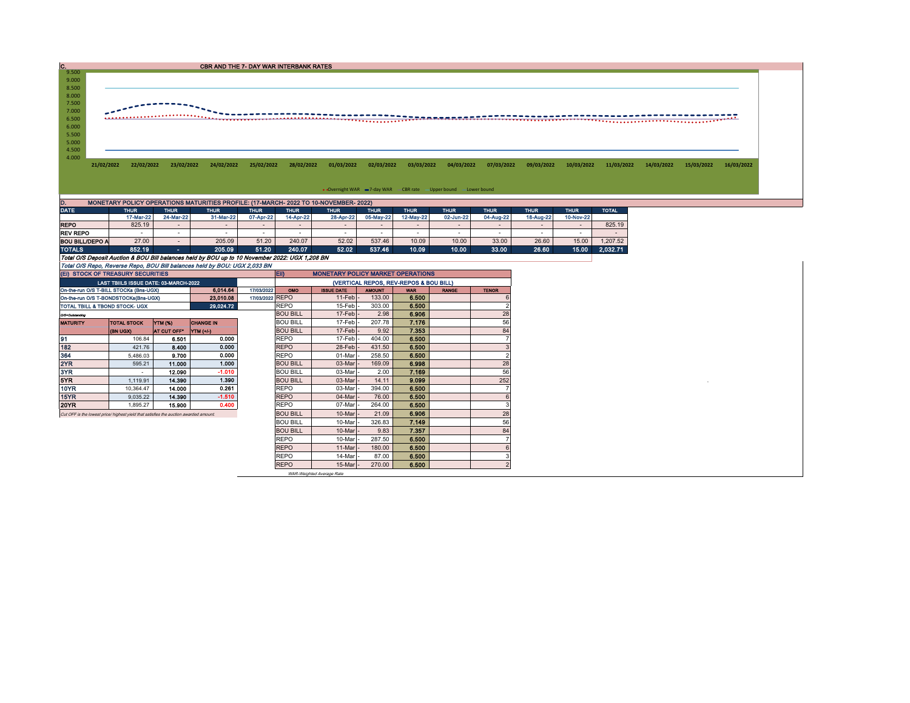| IC.            |                                                                   |            |            | <b>CBR AND THE 7- DAY WAR INTERBANK RATES</b> |            |            |                                                                                      |            |            |            |            |            |            |            |            |            |            |  |
|----------------|-------------------------------------------------------------------|------------|------------|-----------------------------------------------|------------|------------|--------------------------------------------------------------------------------------|------------|------------|------------|------------|------------|------------|------------|------------|------------|------------|--|
| 9.500          |                                                                   |            |            |                                               |            |            |                                                                                      |            |            |            |            |            |            |            |            |            |            |  |
| 9.000          |                                                                   |            |            |                                               |            |            |                                                                                      |            |            |            |            |            |            |            |            |            |            |  |
| 8.500          |                                                                   |            |            |                                               |            |            |                                                                                      |            |            |            |            |            |            |            |            |            |            |  |
| 8.000          |                                                                   |            |            |                                               |            |            |                                                                                      |            |            |            |            |            |            |            |            |            |            |  |
| 7.500          |                                                                   |            |            |                                               |            |            |                                                                                      |            |            |            |            |            |            |            |            |            |            |  |
| 7.000          |                                                                   |            |            |                                               |            |            |                                                                                      |            |            |            |            |            |            |            |            |            |            |  |
| 6.500          |                                                                   |            |            |                                               |            |            |                                                                                      |            |            |            |            |            |            |            |            |            |            |  |
| 6.000          |                                                                   |            |            |                                               |            |            |                                                                                      |            |            |            |            |            |            |            |            |            |            |  |
| 5.500          |                                                                   |            |            |                                               |            |            |                                                                                      |            |            |            |            |            |            |            |            |            |            |  |
| 5.000          |                                                                   |            |            |                                               |            |            |                                                                                      |            |            |            |            |            |            |            |            |            |            |  |
| 4.500<br>4.000 |                                                                   |            |            |                                               |            |            |                                                                                      |            |            |            |            |            |            |            |            |            |            |  |
|                | 21/02/2022                                                        | 22/02/2022 | 23/02/2022 | 24/02/2022                                    | 25/02/2022 | 28/02/2022 | 01/03/2022                                                                           | 02/03/2022 | 03/03/2022 | 04/03/2022 | 07/03/2022 | 09/03/2022 | 10/03/2022 | 11/03/2022 | 14/03/2022 | 15/03/2022 | 16/03/2022 |  |
|                |                                                                   |            |            |                                               |            |            |                                                                                      |            |            |            |            |            |            |            |            |            |            |  |
|                |                                                                   |            |            |                                               |            |            |                                                                                      |            |            |            |            |            |            |            |            |            |            |  |
|                | • Overnight WAR -7-day WAR - CBR rate - Upper bound - Lower bound |            |            |                                               |            |            |                                                                                      |            |            |            |            |            |            |            |            |            |            |  |
|                |                                                                   |            |            |                                               |            |            |                                                                                      |            |            |            |            |            |            |            |            |            |            |  |
| D.             |                                                                   |            |            |                                               |            |            | MONETARY POLICY OPERATIONS MATURITIES PROFILE: (17-MARCH- 2022 TO 10-NOVEMBER- 2022) |            |            |            |            |            |            |            |            |            |            |  |

| <b>DATE</b>                                                                                    | <b>THUR</b> | <b>THUR</b>              | <b>THUR</b> | <b>THUR</b> | <b>THUR</b>              | <b>THUR</b>              | <b>THUR</b> | <b>THUR</b> | <b>THUR</b>              | <b>THUR</b> | <b>THUR</b>              | <b>THUR</b>              | <b>TOTAL</b> |
|------------------------------------------------------------------------------------------------|-------------|--------------------------|-------------|-------------|--------------------------|--------------------------|-------------|-------------|--------------------------|-------------|--------------------------|--------------------------|--------------|
|                                                                                                | 17-Mar-22   | 24-Mar-22                | 31-Mar-22   | 07-Apr-22   | 14-Apr-22                | 28-Apr-22                | 05-May-22   | 12-May-22   | 02-Jun-22                | 04-Aug-22   | 18-Aug-22                | 10-Nov-22                |              |
| <b>REPO</b>                                                                                    | 825.19      | $\overline{\phantom{0}}$ |             |             | $\overline{\phantom{0}}$ | $\overline{\phantom{0}}$ |             |             | -                        |             | $\overline{\phantom{0}}$ | $\overline{\phantom{0}}$ | 825.19       |
| <b>REV REPO</b>                                                                                | . .         | <b>Contract</b>          |             |             | -                        |                          |             |             | $\overline{\phantom{a}}$ |             |                          |                          |              |
| <b>BOU BILL/DEPO A</b>                                                                         | 27.00       |                          | 205.09      | 51.20       | 240.07                   | 52.02                    | 537.46      | 10.09       | 10.00                    | 33.00       | 26.60                    | 15.00                    | 1.207.52     |
| <b>TOTALS</b>                                                                                  | 852.19      | <b>COL</b>               | 205.09      | 51.20       | 240.07                   | 52.02                    | 537.46      | 10.09       | 10.00                    | 33.00       | 26.60                    | 15.00                    | 2.032.71     |
| Total O/S Deposit Auction & BOU Bill balances held by BOU up to 10 November 2022: UGX 1,208 BN |             |                          |             |             |                          |                          |             |             |                          |             |                          |                          |              |
| Total O/S Repo, Reverse Repo, BOU Bill balances held by BOU: UGX 2,033 BN                      |             |                          |             |             |                          |                          |             |             |                          |             |                          |                          |              |

| (EI) STOCK OF TREASURY SECURITIES                                                    |                                       |                    |                  |                 | <b>ED</b><br><b>MONETARY POLICY MARKET OPERATIONS</b> |                     |               |            |              |              |  |  |
|--------------------------------------------------------------------------------------|---------------------------------------|--------------------|------------------|-----------------|-------------------------------------------------------|---------------------|---------------|------------|--------------|--------------|--|--|
|                                                                                      | LAST TBIILS ISSUE DATE: 03-MARCH-2022 |                    |                  |                 | (VERTICAL REPOS, REV-REPOS & BOU BILL)                |                     |               |            |              |              |  |  |
| On-the-run O/S T-BILL STOCKs (Bns-UGX)<br>6.014.64<br>17/03/2022                     |                                       |                    |                  |                 |                                                       | <b>ISSUE DATE</b>   | <b>AMOUNT</b> | <b>WAR</b> | <b>RANGE</b> | <b>TENOR</b> |  |  |
| On-the-run O/S T-BONDSTOCKs(Bns-UGX)                                                 |                                       |                    | 23.010.08        | 17/03/2022 REPO |                                                       | $11$ -Feb $-$       | 133.00        | 6.500      |              |              |  |  |
| TOTAL TBILL & TBOND STOCK- UGX                                                       |                                       |                    | 29,024.72        |                 | <b>REPO</b>                                           | 15-Feb              | 303.00        | 6.500      |              |              |  |  |
| 0/3-Outstanding                                                                      |                                       |                    |                  |                 | <b>BOU BILL</b>                                       | $17-Feb$            | 2.98          | 6.906      |              | 28           |  |  |
| <b>MATURITY</b>                                                                      | <b>TOTAL STOCK</b>                    | YTM (%)            | <b>CHANGE IN</b> |                 | <b>BOU BILL</b>                                       | 17-Feb              | 207.78        | 7.176      |              | 56           |  |  |
|                                                                                      | <b>(BN UGX)</b>                       | <b>AT CUT OFF*</b> | <b>YTM</b> (+/-) |                 | <b>BOU BILL</b>                                       | $17-Feb$            | 9.92          | 7.353      |              | 84           |  |  |
| 91                                                                                   | 106.84                                | 6.501              | 0.000            |                 | <b>REPO</b>                                           | 17-Feb              | 404.00        | 6.500      |              |              |  |  |
| 182                                                                                  | 421.76                                | 8.400              | 0.000            |                 | <b>REPO</b>                                           | 28-Feb              | 431.50        | 6.500      |              |              |  |  |
| 364                                                                                  | 5.486.03                              | 9.700              | 0.000            |                 | REPO                                                  | 01-Mar              | 258.50        | 6.500      |              |              |  |  |
| 2YR                                                                                  | 595.21                                | 11.000             | 1.000            |                 | <b>BOU BILL</b>                                       | 03-Mar              | 169.09        | 6.998      |              | 28           |  |  |
| 3YR                                                                                  | $\overline{\phantom{a}}$              | 12.090             | $-1.010$         |                 | <b>BOU BILL</b>                                       | 03-Mar              | 2.00          | 7.169      |              | 56           |  |  |
| 5YR.                                                                                 | 1,119.91                              | 14,390             | 1.390            |                 | <b>BOU BILL</b>                                       | 03-Mar              | 14.11         | 9.099      |              | 252          |  |  |
| 10YR                                                                                 | 10.364.47                             | 14.000             | 0.261            |                 | <b>REPO</b>                                           | 03-Mar              | 394.00        | 6.500      |              |              |  |  |
| 15YR                                                                                 | 9,035.22                              | 14.390             | $-1.510$         |                 | <b>REPO</b>                                           | 04-Mar              | 76.00         | 6.500      |              |              |  |  |
| 20YR                                                                                 | 1.895.27                              | 15.900             | 0.400            |                 | REPO                                                  | 07-Mar              | 264.00        | 6.500      |              |              |  |  |
| Cut OFF is the lowest price/highest vield that satisfies the auction awarded amount. |                                       |                    |                  |                 | <b>BOU BILL</b>                                       | 10-Mar              | 21.09         | 6.906      |              | 28           |  |  |
|                                                                                      |                                       |                    |                  |                 | <b>BOU BILL</b>                                       | 10-Mar              | 326.83        | 7.149      |              | 56           |  |  |
|                                                                                      |                                       |                    |                  |                 | <b>BOU BILL</b>                                       | 10-Mar              | 9.83          | 7.357      |              | 84           |  |  |
|                                                                                      |                                       |                    |                  |                 | <b>REPO</b>                                           | 10-Mar              | 287.50        | 6.500      |              |              |  |  |
|                                                                                      |                                       |                    |                  |                 | <b>REPO</b>                                           | $11-Mar$            | 180.00        | 6.500      |              |              |  |  |
|                                                                                      |                                       |                    |                  |                 | <b>REPO</b>                                           | 14-Mar              | 87.00         | 6.500      |              |              |  |  |
|                                                                                      |                                       |                    |                  |                 | <b>REPO</b>                                           | $15$ -Mar $\vert$ - | 270.00        | 6.500      |              |              |  |  |

WAR-Weighted Average Rate